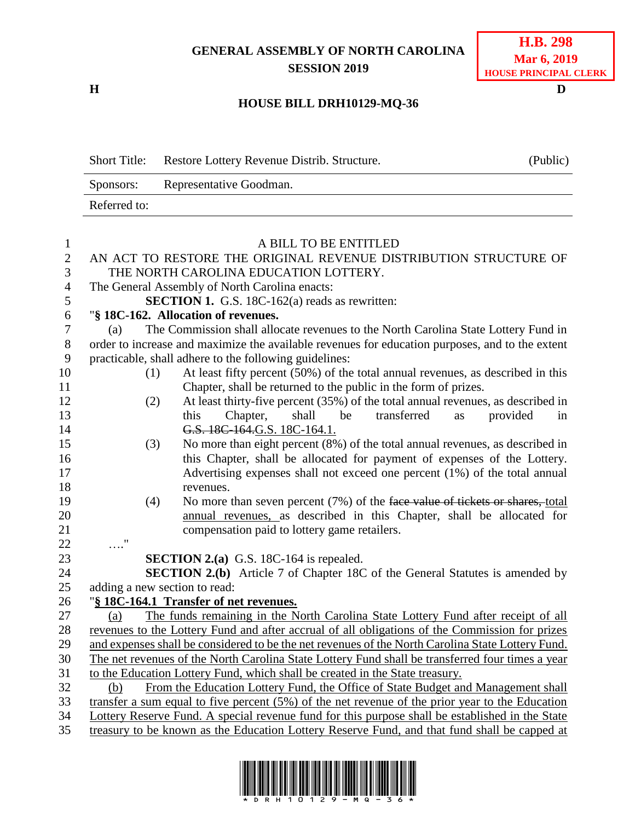## **GENERAL ASSEMBLY OF NORTH CAROLINA SESSION 2019**

**H D**

## **HOUSE BILL DRH10129-MQ-36**

| <b>Short Title:</b> | Restore Lottery Revenue Distrib. Structure. | (Public) |
|---------------------|---------------------------------------------|----------|
| Sponsors:           | Representative Goodman.                     |          |
| Referred to:        |                                             |          |

| 1              | A BILL TO BE ENTITLED                                                                                                                                                            |  |  |  |  |
|----------------|----------------------------------------------------------------------------------------------------------------------------------------------------------------------------------|--|--|--|--|
| $\overline{2}$ | AN ACT TO RESTORE THE ORIGINAL REVENUE DISTRIBUTION STRUCTURE OF                                                                                                                 |  |  |  |  |
| 3              | THE NORTH CAROLINA EDUCATION LOTTERY.                                                                                                                                            |  |  |  |  |
| $\overline{4}$ | The General Assembly of North Carolina enacts:                                                                                                                                   |  |  |  |  |
| 5              | <b>SECTION 1.</b> G.S. 18C-162(a) reads as rewritten:                                                                                                                            |  |  |  |  |
| 6              | "§ 18C-162. Allocation of revenues.                                                                                                                                              |  |  |  |  |
| $\overline{7}$ | The Commission shall allocate revenues to the North Carolina State Lottery Fund in<br>(a)                                                                                        |  |  |  |  |
| $8\,$          | order to increase and maximize the available revenues for education purposes, and to the extent                                                                                  |  |  |  |  |
| 9              | practicable, shall adhere to the following guidelines:                                                                                                                           |  |  |  |  |
| 10             | At least fifty percent (50%) of the total annual revenues, as described in this<br>(1)                                                                                           |  |  |  |  |
| 11             | Chapter, shall be returned to the public in the form of prizes.                                                                                                                  |  |  |  |  |
| 12             | At least thirty-five percent (35%) of the total annual revenues, as described in<br>(2)                                                                                          |  |  |  |  |
| 13             | transferred<br>this<br>Chapter,<br>shall<br>provided<br>be<br>in<br>as                                                                                                           |  |  |  |  |
| 14             | G.S. 18C-164.G.S. 18C-164.1.                                                                                                                                                     |  |  |  |  |
| 15             | No more than eight percent (8%) of the total annual revenues, as described in<br>(3)                                                                                             |  |  |  |  |
| 16             | this Chapter, shall be allocated for payment of expenses of the Lottery.                                                                                                         |  |  |  |  |
| 17             | Advertising expenses shall not exceed one percent (1%) of the total annual                                                                                                       |  |  |  |  |
| 18             | revenues.                                                                                                                                                                        |  |  |  |  |
| 19             | No more than seven percent (7%) of the face value of tickets or shares, total<br>(4)                                                                                             |  |  |  |  |
| 20             | annual revenues, as described in this Chapter, shall be allocated for                                                                                                            |  |  |  |  |
| 21             | compensation paid to lottery game retailers.                                                                                                                                     |  |  |  |  |
| 22             | $\ldots$ "                                                                                                                                                                       |  |  |  |  |
| 23             | <b>SECTION 2.(a)</b> G.S. 18C-164 is repealed.                                                                                                                                   |  |  |  |  |
| 24             | <b>SECTION 2.(b)</b> Article 7 of Chapter 18C of the General Statutes is amended by                                                                                              |  |  |  |  |
| 25             | adding a new section to read:                                                                                                                                                    |  |  |  |  |
| 26<br>27       | "§ 18C-164.1 Transfer of net revenues.                                                                                                                                           |  |  |  |  |
| 28             | The funds remaining in the North Carolina State Lottery Fund after receipt of all<br>(a)                                                                                         |  |  |  |  |
| 29             | revenues to the Lottery Fund and after accrual of all obligations of the Commission for prizes                                                                                   |  |  |  |  |
| 30             | and expenses shall be considered to be the net revenues of the North Carolina State Lottery Fund.                                                                                |  |  |  |  |
| 31             | The net revenues of the North Carolina State Lottery Fund shall be transferred four times a year<br>to the Education Lottery Fund, which shall be created in the State treasury. |  |  |  |  |
| 32             | From the Education Lottery Fund, the Office of State Budget and Management shall<br>(b)                                                                                          |  |  |  |  |
| 33             | transfer a sum equal to five percent $(5\%)$ of the net revenue of the prior year to the Education                                                                               |  |  |  |  |
| 34             | Lottery Reserve Fund. A special revenue fund for this purpose shall be established in the State                                                                                  |  |  |  |  |
| 35             | treasury to be known as the Education Lottery Reserve Fund, and that fund shall be capped at                                                                                     |  |  |  |  |
|                |                                                                                                                                                                                  |  |  |  |  |